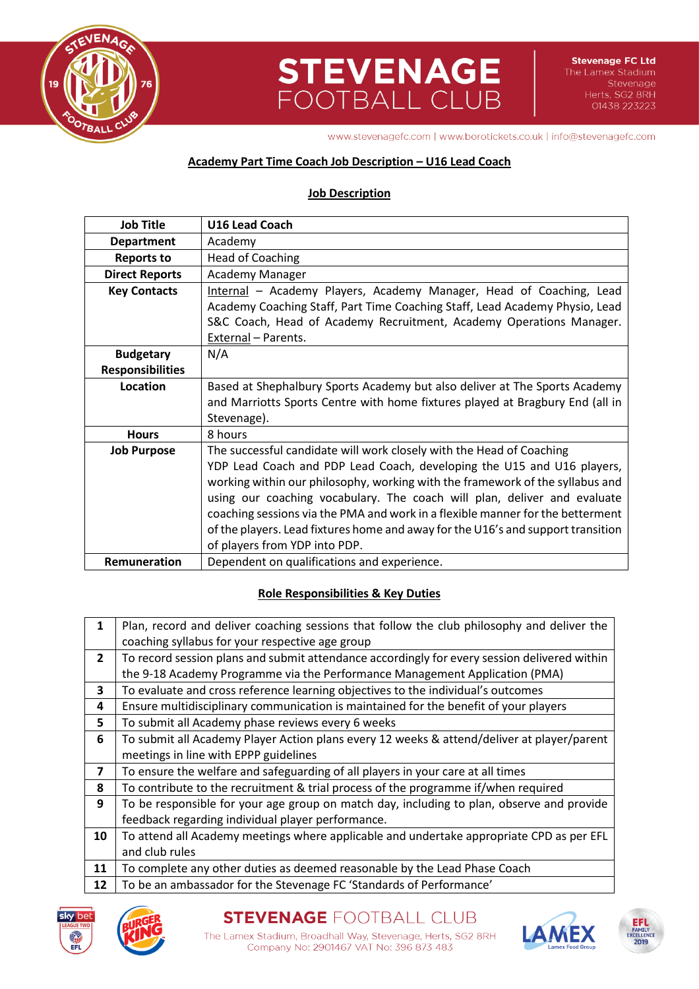

# **STEVENAGE**<br>FOOTBALL CLUB

www.stevenagefc.com | www.borotickets.co.uk | info@stevenagefc.com

## **Academy Part Time Coach Job Description – U16 Lead Coach**

### **Job Description**

| <b>Job Title</b>                                                                           | <b>U16 Lead Coach</b>                                                            |  |  |
|--------------------------------------------------------------------------------------------|----------------------------------------------------------------------------------|--|--|
| <b>Department</b>                                                                          | Academy                                                                          |  |  |
| <b>Reports to</b>                                                                          | <b>Head of Coaching</b>                                                          |  |  |
| <b>Direct Reports</b>                                                                      | <b>Academy Manager</b>                                                           |  |  |
| <b>Key Contacts</b>                                                                        | Internal - Academy Players, Academy Manager, Head of Coaching, Lead              |  |  |
|                                                                                            | Academy Coaching Staff, Part Time Coaching Staff, Lead Academy Physio, Lead      |  |  |
|                                                                                            | S&C Coach, Head of Academy Recruitment, Academy Operations Manager.              |  |  |
|                                                                                            | External - Parents.                                                              |  |  |
| <b>Budgetary</b>                                                                           | N/A                                                                              |  |  |
| <b>Responsibilities</b>                                                                    |                                                                                  |  |  |
| Location                                                                                   | Based at Shephalbury Sports Academy but also deliver at The Sports Academy       |  |  |
|                                                                                            | and Marriotts Sports Centre with home fixtures played at Bragbury End (all in    |  |  |
|                                                                                            | Stevenage).                                                                      |  |  |
| <b>Hours</b>                                                                               | 8 hours                                                                          |  |  |
| The successful candidate will work closely with the Head of Coaching<br><b>Job Purpose</b> |                                                                                  |  |  |
|                                                                                            | YDP Lead Coach and PDP Lead Coach, developing the U15 and U16 players,           |  |  |
|                                                                                            | working within our philosophy, working with the framework of the syllabus and    |  |  |
|                                                                                            | using our coaching vocabulary. The coach will plan, deliver and evaluate         |  |  |
|                                                                                            | coaching sessions via the PMA and work in a flexible manner for the betterment   |  |  |
|                                                                                            | of the players. Lead fixtures home and away for the U16's and support transition |  |  |
|                                                                                            | of players from YDP into PDP.                                                    |  |  |
| Remuneration                                                                               | Dependent on qualifications and experience.                                      |  |  |

# **Role Responsibilities & Key Duties**

| 1              | Plan, record and deliver coaching sessions that follow the club philosophy and deliver the   |  |  |
|----------------|----------------------------------------------------------------------------------------------|--|--|
|                | coaching syllabus for your respective age group                                              |  |  |
| $\mathbf{2}$   | To record session plans and submit attendance accordingly for every session delivered within |  |  |
|                | the 9-18 Academy Programme via the Performance Management Application (PMA)                  |  |  |
| 3              | To evaluate and cross reference learning objectives to the individual's outcomes             |  |  |
| 4              | Ensure multidisciplinary communication is maintained for the benefit of your players         |  |  |
| 5              | To submit all Academy phase reviews every 6 weeks                                            |  |  |
| 6              | To submit all Academy Player Action plans every 12 weeks & attend/deliver at player/parent   |  |  |
|                | meetings in line with EPPP guidelines                                                        |  |  |
| $\overline{ }$ | To ensure the welfare and safeguarding of all players in your care at all times              |  |  |
| 8              | To contribute to the recruitment & trial process of the programme if/when required           |  |  |
| 9              | To be responsible for your age group on match day, including to plan, observe and provide    |  |  |
|                | feedback regarding individual player performance.                                            |  |  |
| 10             | To attend all Academy meetings where applicable and undertake appropriate CPD as per EFL     |  |  |
|                | and club rules                                                                               |  |  |
| 11             | To complete any other duties as deemed reasonable by the Lead Phase Coach                    |  |  |
|                |                                                                                              |  |  |

12 To be an ambassador for the Stevenage FC 'Standards of Performance'





Company No: 2901467 VAT No: 396 873 483